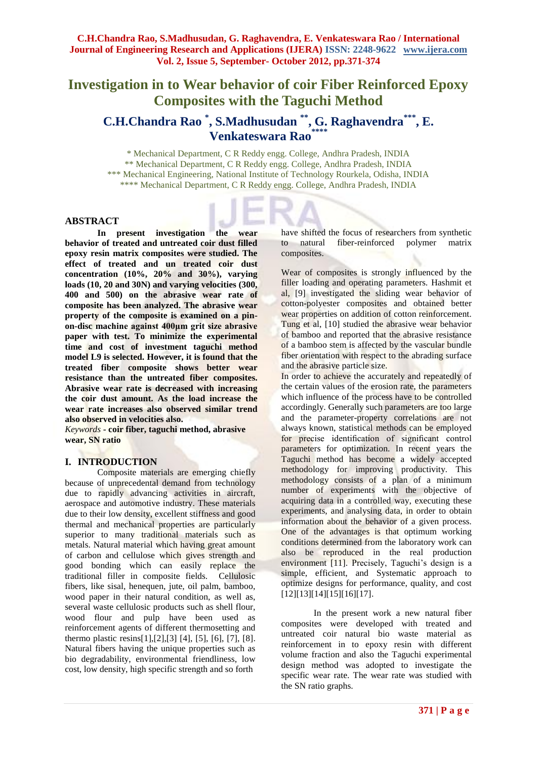# **Investigation in to Wear behavior of coir Fiber Reinforced Epoxy Composites with the Taguchi Method**

## **C.H.Chandra Rao \* , S.Madhusudan \*\*, G. Raghavendra\*\*\* , E. Venkateswara Rao\*\*\*\***

\* Mechanical Department, C R Reddy engg. College, Andhra Pradesh, INDIA \*\* Mechanical Department, C R Reddy engg. College, Andhra Pradesh, INDIA \*\*\* Mechanical Engineering, National Institute of Technology Rourkela, Odisha, INDIA \*\*\*\* Mechanical Department, C R Reddy engg. College, Andhra Pradesh, INDIA

#### **ABSTRACT**

**In present investigation the wear behavior of treated and untreated coir dust filled epoxy resin matrix composites were studied. The effect of treated and un treated coir dust concentration (10%, 20% and 30%), varying loads (10, 20 and 30N) and varying velocities (300, 400 and 500) on the abrasive wear rate of composite has been analyzed. The abrasive wear property of the composite is examined on a pinon-disc machine against 400μm grit size abrasive paper with test. To minimize the experimental time and cost of investment taguchi method model L9 is selected. However, it is found that the treated fiber composite shows better wear resistance than the untreated fiber composites. Abrasive wear rate is decreased with increasing the coir dust amount. As the load increase the wear rate increases also observed similar trend also observed in velocities also.**

*Keywords* **- coir fiber, taguchi method, abrasive wear, SN ratio** 

### **I. INTRODUCTION**

Composite materials are emerging chiefly because of unprecedental demand from technology due to rapidly advancing activities in aircraft, aerospace and automotive industry. These materials due to their low density, excellent stiffness and good thermal and mechanical properties are particularly superior to many traditional materials such as metals. Natural material which having great amount of carbon and cellulose which gives strength and good bonding which can easily replace the traditional filler in composite fields. Cellulosic fibers, like sisal, henequen, jute, oil palm, bamboo, wood paper in their natural condition, as well as, several waste cellulosic products such as shell flour, wood flour and pulp have been used as reinforcement agents of different thermosetting and thermo plastic resins[1],[2],[3] [4], [5], [6], [7], [8]. Natural fibers having the unique properties such as bio degradability, environmental friendliness, low cost, low density, high specific strength and so forth

have shifted the focus of researchers from synthetic to natural fiber-reinforced polymer matrix composites.

Wear of composites is strongly influenced by the filler loading and operating parameters. Hashmit et al, [9] investigated the sliding wear behavior of cotton-polyester composites and obtained better wear properties on addition of cotton reinforcement. Tung et al, [10] studied the abrasive wear behavior of bamboo and reported that the abrasive resistance of a bamboo stem is affected by the vascular bundle fiber orientation with respect to the abrading surface and the abrasive particle size.

In order to achieve the accurately and repeatedly of the certain values of the erosion rate, the parameters which influence of the process have to be controlled accordingly. Generally such parameters are too large and the parameter-property correlations are not always known, statistical methods can be employed for precise identification of significant control parameters for optimization. In recent years the Taguchi method has become a widely accepted methodology for improving productivity. This methodology consists of a plan of a minimum number of experiments with the objective of acquiring data in a controlled way, executing these experiments, and analysing data, in order to obtain information about the behavior of a given process. One of the advantages is that optimum working conditions determined from the laboratory work can also be reproduced in the real production environment [11]. Precisely, Taguchi's design is a simple, efficient, and Systematic approach to optimize designs for performance, quality, and cost [12][13][14][15][16][17].

In the present work a new natural fiber composites were developed with treated and untreated coir natural bio waste material as reinforcement in to epoxy resin with different volume fraction and also the Taguchi experimental design method was adopted to investigate the specific wear rate. The wear rate was studied with the SN ratio graphs.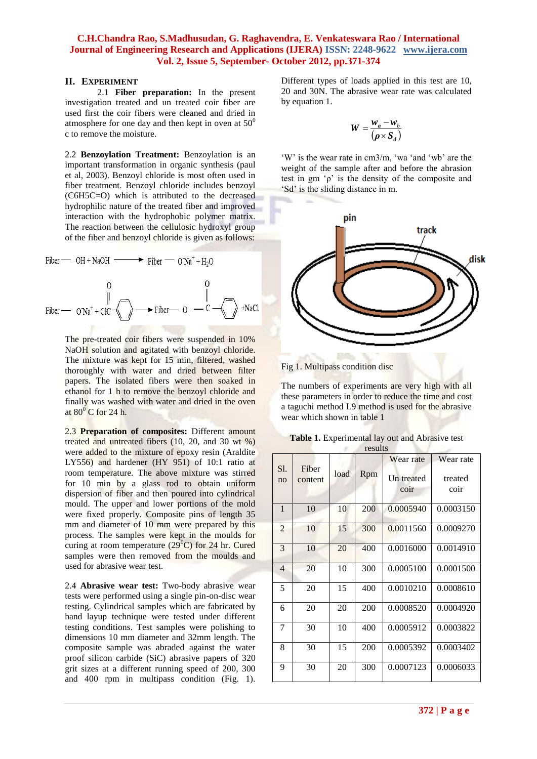#### **C.H.Chandra Rao, S.Madhusudan, G. Raghavendra, E. Venkateswara Rao / International Journal of Engineering Research and Applications (IJERA) ISSN: 2248-9622 www.ijera.com Vol. 2, Issue 5, September- October 2012, pp.371-374**

#### **II. EXPERIMENT**

2.1 **Fiber preparation:** In the present investigation treated and un treated coir fiber are used first the coir fibers were cleaned and dried in atmosphere for one day and then kept in oven at  $50^0$ c to remove the moisture.

2.2 **Benzoylation Treatment:** Benzoylation is an important transformation in organic synthesis (paul et al, 2003). Benzoyl chloride is most often used in fiber treatment. Benzoyl chloride includes benzoyl (C6H5C=O) which is attributed to the decreased hydrophilic nature of the treated fiber and improved interaction with the hydrophobic polymer matrix. The reaction between the cellulosic hydroxyl group of the fiber and benzoyl chloride is given as follows:

Fiber — OH + NaOH — 
$$
\rightarrow
$$
 Fiber —  $ONa^{+} + H_{2}O$ 

\nO

\nFiber —  $ONa^{+} + CC$  —  $\rightarrow$   $\rightarrow$   $\rightarrow$   $\rightarrow$   $\rightarrow$   $\rightarrow$   $\rightarrow$   $\rightarrow$   $\rightarrow$   $\rightarrow$   $\rightarrow$   $\rightarrow$   $\rightarrow$   $\rightarrow$   $\rightarrow$   $\rightarrow$   $\rightarrow$   $\rightarrow$   $\rightarrow$   $\rightarrow$   $\rightarrow$   $\rightarrow$   $\rightarrow$   $\rightarrow$   $\rightarrow$   $\rightarrow$   $\rightarrow$   $\rightarrow$   $\rightarrow$   $\rightarrow$   $\rightarrow$   $\rightarrow$   $\rightarrow$   $\rightarrow$   $\rightarrow$   $\rightarrow$   $\rightarrow$   $\rightarrow$   $\rightarrow$   $\rightarrow$   $\rightarrow$   $\rightarrow$   $\rightarrow$   $\rightarrow$   $\rightarrow$   $\rightarrow$   $\rightarrow$   $\rightarrow$   $\rightarrow$   $\rightarrow$   $\rightarrow$   $\rightarrow$   $\rightarrow$   $\rightarrow$   $\rightarrow$   $\rightarrow$   $\rightarrow$   $\rightarrow$   $\rightarrow$   $\rightarrow$   $\rightarrow$   $\rightarrow$   $\rightarrow$   $\rightarrow$   $\rightarrow$   $\rightarrow$   $\rightarrow$   $\rightarrow$   $\rightarrow$  <math display="</p>

The pre-treated coir fibers were suspended in 10% NaOH solution and agitated with benzoyl chloride. The mixture was kept for 15 min, filtered, washed thoroughly with water and dried between filter papers. The isolated fibers were then soaked in ethanol for 1 h to remove the benzoyl chloride and finally was washed with water and dried in the oven at  $80^{\circ}$  C for 24 h.

2.3 **Preparation of composites:** Different amount treated and untreated fibers (10, 20, and 30 wt %) were added to the mixture of epoxy resin (Araldite LY556) and hardener (HY 951) of 10:1 ratio at room temperature. The above mixture was stirred for 10 min by a glass rod to obtain uniform dispersion of fiber and then poured into cylindrical mould. The upper and lower portions of the mold were fixed properly. Composite pins of length 35 mm and diameter of 10 mm were prepared by this process. The samples were kept in the moulds for curing at room temperature  $(29^{\circ}C)$  for 24 hr. Cured samples were then removed from the moulds and used for abrasive wear test.

2.4 **Abrasive wear test:** Two-body abrasive wear tests were performed using a single pin-on-disc wear testing. Cylindrical samples which are fabricated by hand layup technique were tested under different testing conditions. Test samples were polishing to dimensions 10 mm diameter and 32mm length. The composite sample was abraded against the water proof silicon carbide (SiC) abrasive papers of 320 grit sizes at a different running speed of 200, 300 and 400 rpm in multipass condition (Fig. 1). Different types of loads applied in this test are 10, 20 and 30N. The abrasive wear rate was calculated by equation 1.

$$
W = \frac{w_a - w_b}{(\rho \times S_d)}
$$

'W' is the wear rate in cm3/m, 'wa 'and 'wb' are the weight of the sample after and before the abrasion test in gm 'ρ' is the density of the composite and 'Sd' is the sliding distance in m.



Fig 1. Multipass condition disc

The numbers of experiments are very high with all these parameters in order to reduce the time and cost a taguchi method L9 method is used for the abrasive wear which shown in table 1

| <b>Table 1.</b> Experimental lay out and Abrasive test |  |
|--------------------------------------------------------|--|
| results                                                |  |

|                |         |      | 100016 |            |           |
|----------------|---------|------|--------|------------|-----------|
| Sl.            | Fiber   |      |        | Wear rate  | Wear rate |
| no             | content | load | Rpm    | Un treated | treated   |
|                |         |      |        | coir       | coir      |
| $\mathbf{1}$   | 10      | 10   | 200    | 0.0005940  | 0.0003150 |
| $\overline{2}$ | 10      | 15   | 300    | 0.0011560  | 0.0009270 |
| 3              | 10      | 20   | 400    | 0.0016000  | 0.0014910 |
| $\overline{4}$ | 20      | 10   | 300    | 0.0005100  | 0.0001500 |
| 5              | 20      | 15   | 400    | 0.0010210  | 0.0008610 |
| 6              | 20      | 20   | 200    | 0.0008520  | 0.0004920 |
| 7              | 30      | 10   | 400    | 0.0005912  | 0.0003822 |
| 8              | 30      | 15   | 200    | 0.0005392  | 0.0003402 |
| 9              | 30      | 20   | 300    | 0.0007123  | 0.0006033 |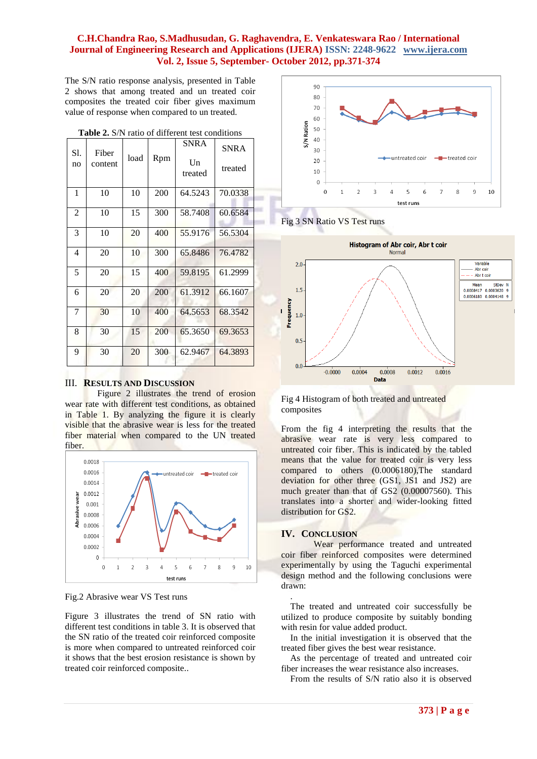#### **C.H.Chandra Rao, S.Madhusudan, G. Raghavendra, E. Venkateswara Rao / International Journal of Engineering Research and Applications (IJERA) ISSN: 2248-9622 www.ijera.com Vol. 2, Issue 5, September- October 2012, pp.371-374**

The S/N ratio response analysis, presented in Table 2 shows that among treated and un treated coir composites the treated coir fiber gives maximum value of response when compared to un treated.

| S1.<br>no      | Fiber<br>content | load | Rpm | <b>SNRA</b><br>$\mathbf{U}$ n<br>treated | <b>SNRA</b><br>treated |  |
|----------------|------------------|------|-----|------------------------------------------|------------------------|--|
| 1              | 10               | 10   | 200 | 64.5243                                  | 70.0338                |  |
| $\overline{2}$ | 10               | 15   | 300 | 58.7408                                  | 60.6584                |  |
| 3              | 10               | 20   | 400 | 55.9176                                  | 56.5304                |  |
| 4              | 20               | 10   | 300 | 65.8486                                  | 76.4782                |  |
| 5              | 20               | 15   | 400 | 59.8195                                  | 61.2999                |  |
| 6              | 20               | 20   | 200 | 61.3912                                  | 66.1607                |  |
| 7              | 30               | 10   | 400 | 64.5653                                  | 68.3542                |  |
| 8              | 30               | 15   | 200 | 65.3650                                  | 69.3653                |  |
| 9              | 30               | 20   | 300 | 62.9467                                  | 64.3893                |  |
|                |                  |      |     |                                          |                        |  |

**Table 2.** S/N ratio of different test conditions

#### III. **RESULTS AND DISCUSSION**

Figure 2 illustrates the trend of erosion wear rate with different test conditions, as obtained in Table 1. By analyzing the figure it is clearly visible that the abrasive wear is less for the treated fiber material when compared to the UN treated fiber.



Fig.2 Abrasive wear VS Test runs

Figure 3 illustrates the trend of SN ratio with different test conditions in table 3. It is observed that the SN ratio of the treated coir reinforced composite is more when compared to untreated reinforced coir it shows that the best erosion resistance is shown by treated coir reinforced composite..



Fig 3 SN Ratio VS Test runs



Fig 4 Histogram of both treated and untreated composites

From the fig 4 interpreting the results that the abrasive wear rate is very less compared to untreated coir fiber. This is indicated by the tabled means that the value for treated coir is very less compared to others (0.0006180),The standard deviation for other three (GS1, JS1 and JS2) are much greater than that of GS2 (0.00007560). This translates into a shorter and wider-looking fitted distribution for GS2.

#### **IV. CONCLUSION**

Wear performance treated and untreated coir fiber reinforced composites were determined experimentally by using the Taguchi experimental design method and the following conclusions were drawn:

. The treated and untreated coir successfully be utilized to produce composite by suitably bonding with resin for value added product.

In the initial investigation it is observed that the treated fiber gives the best wear resistance.

As the percentage of treated and untreated coir fiber increases the wear resistance also increases.

From the results of S/N ratio also it is observed